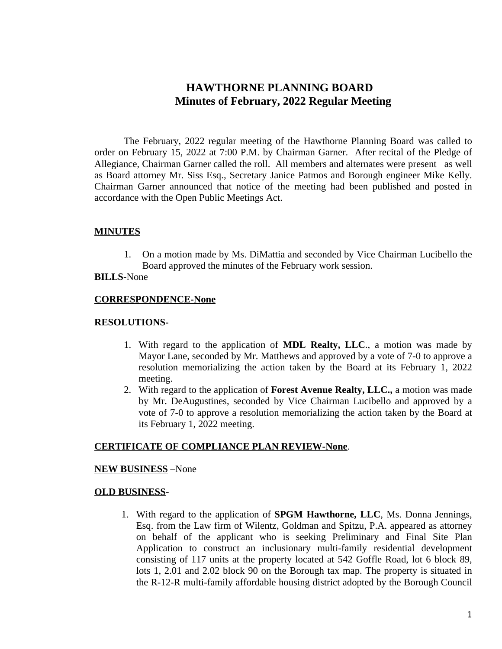# **HAWTHORNE PLANNING BOARD Minutes of February, 2022 Regular Meeting**

The February, 2022 regular meeting of the Hawthorne Planning Board was called to order on February 15, 2022 at 7:00 P.M. by Chairman Garner. After recital of the Pledge of Allegiance, Chairman Garner called the roll. All members and alternates were present as well as Board attorney Mr. Siss Esq., Secretary Janice Patmos and Borough engineer Mike Kelly. Chairman Garner announced that notice of the meeting had been published and posted in accordance with the Open Public Meetings Act.

## **MINUTES**

1. On a motion made by Ms. DiMattia and seconded by Vice Chairman Lucibello the Board approved the minutes of the February work session.

## **BILLS-**None

## **CORRESPONDENCE-None**

#### **RESOLUTIONS-**

- 1. With regard to the application of **MDL Realty, LLC**., a motion was made by Mayor Lane, seconded by Mr. Matthews and approved by a vote of 7-0 to approve a resolution memorializing the action taken by the Board at its February 1, 2022 meeting.
- 2. With regard to the application of **Forest Avenue Realty, LLC.,** a motion was made by Mr. DeAugustines, seconded by Vice Chairman Lucibello and approved by a vote of 7-0 to approve a resolution memorializing the action taken by the Board at its February 1, 2022 meeting.

# **CERTIFICATE OF COMPLIANCE PLAN REVIEW-None**.

#### **NEW BUSINESS** –None

## **OLD BUSINESS**-

1. With regard to the application of **SPGM Hawthorne, LLC**, Ms. Donna Jennings, Esq. from the Law firm of Wilentz, Goldman and Spitzu, P.A. appeared as attorney on behalf of the applicant who is seeking Preliminary and Final Site Plan Application to construct an inclusionary multi-family residential development consisting of 117 units at the property located at 542 Goffle Road, lot 6 block 89, lots 1, 2.01 and 2.02 block 90 on the Borough tax map. The property is situated in the R-12-R multi-family affordable housing district adopted by the Borough Council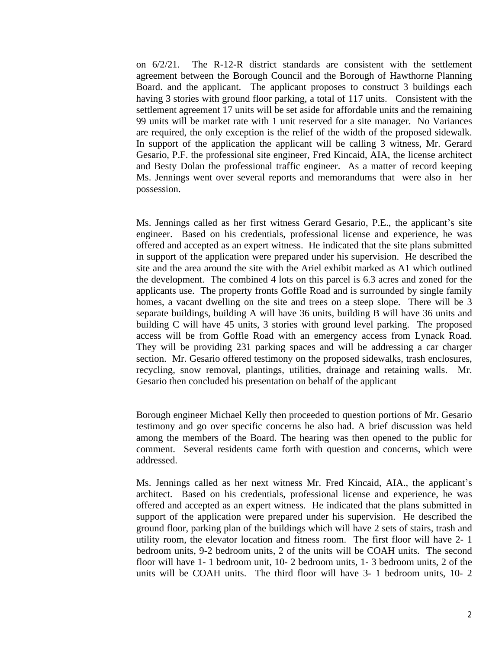on 6/2/21. The R-12-R district standards are consistent with the settlement agreement between the Borough Council and the Borough of Hawthorne Planning Board. and the applicant. The applicant proposes to construct 3 buildings each having 3 stories with ground floor parking, a total of 117 units. Consistent with the settlement agreement 17 units will be set aside for affordable units and the remaining 99 units will be market rate with 1 unit reserved for a site manager. No Variances are required, the only exception is the relief of the width of the proposed sidewalk. In support of the application the applicant will be calling 3 witness, Mr. Gerard Gesario, P.F. the professional site engineer, Fred Kincaid, AIA, the license architect and Besty Dolan the professional traffic engineer. As a matter of record keeping Ms. Jennings went over several reports and memorandums that were also in her possession.

Ms. Jennings called as her first witness Gerard Gesario, P.E., the applicant's site engineer. Based on his credentials, professional license and experience, he was offered and accepted as an expert witness. He indicated that the site plans submitted in support of the application were prepared under his supervision. He described the site and the area around the site with the Ariel exhibit marked as A1 which outlined the development. The combined 4 lots on this parcel is 6.3 acres and zoned for the applicants use. The property fronts Goffle Road and is surrounded by single family homes, a vacant dwelling on the site and trees on a steep slope. There will be 3 separate buildings, building A will have 36 units, building B will have 36 units and building C will have 45 units, 3 stories with ground level parking. The proposed access will be from Goffle Road with an emergency access from Lynack Road. They will be providing 231 parking spaces and will be addressing a car charger section. Mr. Gesario offered testimony on the proposed sidewalks, trash enclosures, recycling, snow removal, plantings, utilities, drainage and retaining walls. Mr. Gesario then concluded his presentation on behalf of the applicant

Borough engineer Michael Kelly then proceeded to question portions of Mr. Gesario testimony and go over specific concerns he also had. A brief discussion was held among the members of the Board. The hearing was then opened to the public for comment. Several residents came forth with question and concerns, which were addressed.

Ms. Jennings called as her next witness Mr. Fred Kincaid, AIA., the applicant's architect. Based on his credentials, professional license and experience, he was offered and accepted as an expert witness. He indicated that the plans submitted in support of the application were prepared under his supervision. He described the ground floor, parking plan of the buildings which will have 2 sets of stairs, trash and utility room, the elevator location and fitness room. The first floor will have 2- 1 bedroom units, 9-2 bedroom units, 2 of the units will be COAH units. The second floor will have 1- 1 bedroom unit, 10- 2 bedroom units, 1- 3 bedroom units, 2 of the units will be COAH units. The third floor will have 3- 1 bedroom units, 10- 2